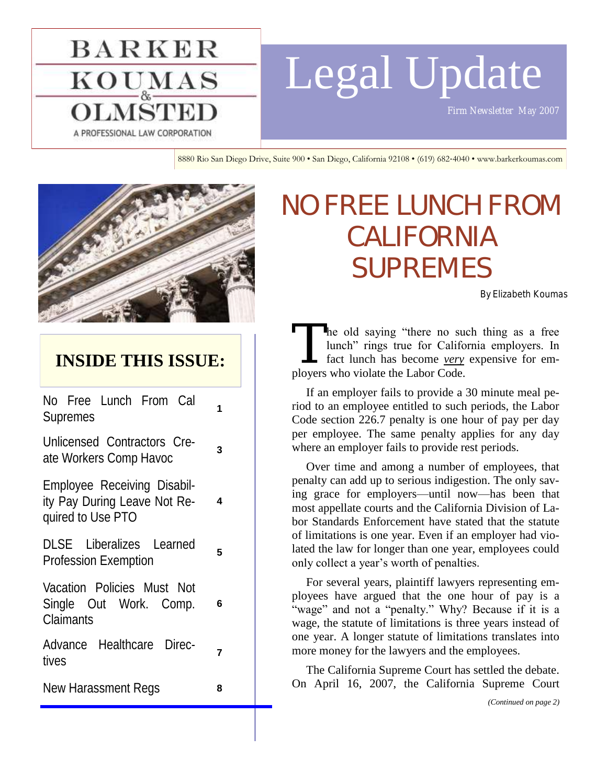## **BARKER**  $\mathbf{KOU}_{\&}^{\mathbf{MAS}}$ A PROFESSIONAL LAW CORPORATION

# Legal Update

*Firm Newsletter May 2007* 

8880 Rio San Diego Drive, Suite 900 • San Diego, California 92108 • (619) 682-4040 • www.barkerkoumas.com



## **INSIDE THIS ISSUE:**

No Free Lunch From Cal Supremes **<sup>1</sup>**

Unlicensed Contractors Create Workers Comp Havoc **<sup>3</sup>**

Employee Receiving Disability Pay During Leave Not Required to Use PTO **4**

DLSE Liberalizes Learned Profession Exemption **<sup>5</sup>**

Vacation Policies Must Not Single Out Work. Comp. Claimants

**6**

Advance Healthcare Directives *Production* **7** 

New Harassment Regs **8**

## NO FREE LUNCH FROM CALIFORNIA SUPREMES

By Elizabeth Koumas

The old saying "there no sue lunch" rings true for California<br>fact lunch has become <u>very</u> ployers who violate the Labor Code. he old saying "there no such thing as a free lunch" rings true for California employers. In fact lunch has become *very* expensive for em-

If an employer fails to provide a 30 minute meal period to an employee entitled to such periods, the Labor Code section 226.7 penalty is one hour of pay per day per employee. The same penalty applies for any day where an employer fails to provide rest periods.

Over time and among a number of employees, that penalty can add up to serious indigestion. The only saving grace for employers—until now—has been that most appellate courts and the California Division of Labor Standards Enforcement have stated that the statute of limitations is one year. Even if an employer had violated the law for longer than one year, employees could only collect a year's worth of penalties.

For several years, plaintiff lawyers representing employees have argued that the one hour of pay is a "wage" and not a "penalty." Why? Because if it is a wage, the statute of limitations is three years instead of one year. A longer statute of limitations translates into more money for the lawyers and the employees.

The California Supreme Court has settled the debate. On April 16, 2007, the California Supreme Court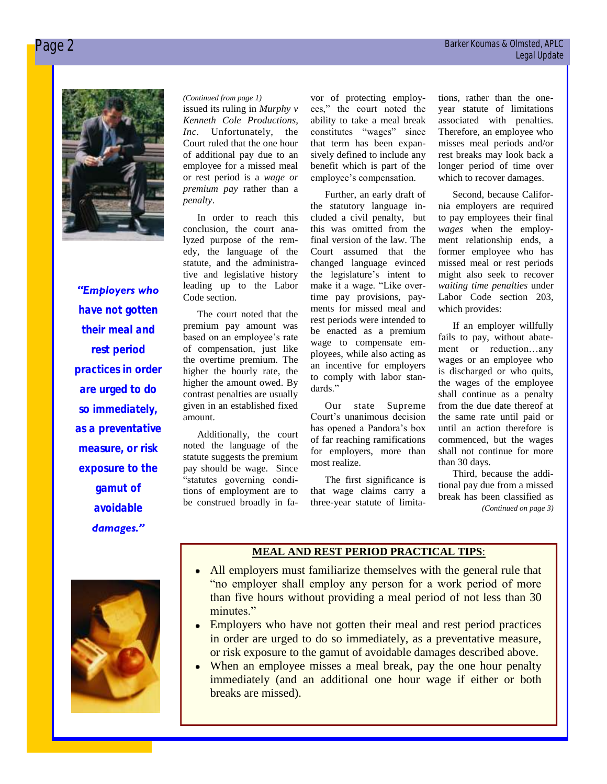

*"Employers who have not gotten their meal and rest period practices in order are urged to do so immediately, as a preventative measure, or risk exposure to the gamut of avoidable damages."* 

issued its ruling in *Murphy v Kenneth Cole Productions, Inc.* Unfortunately, the Court ruled that the one hour of additional pay due to an employee for a missed meal or rest period is a *wage or premium pay* rather than a *penalty*.

In order to reach this conclusion, the court analyzed purpose of the remedy, the language of the statute, and the administrative and legislative history leading up to the Labor Code section.

The court noted that the premium pay amount was based on an employee's rate of compensation, just like the overtime premium. The higher the hourly rate, the higher the amount owed. By contrast penalties are usually given in an established fixed amount.

Additionally, the court noted the language of the statute suggests the premium pay should be wage. Since "statutes governing conditions of employment are to be construed broadly in fa-

(*Continued from page 1*) vor of protecting employ- tions, rather than the oneees," the court noted the ability to take a meal break constitutes "wages" since that term has been expansively defined to include any benefit which is part of the employee's compensation.

> Further, an early draft of the statutory language included a civil penalty, but this was omitted from the final version of the law. The Court assumed that the changed language evinced the legislature's intent to make it a wage. "Like overtime pay provisions, payments for missed meal and rest periods were intended to be enacted as a premium wage to compensate employees, while also acting as an incentive for employers to comply with labor standards."

> Our state Supreme Court's unanimous decision has opened a Pandora's box of far reaching ramifications for employers, more than most realize.

> The first significance is that wage claims carry a three-year statute of limita

year statute of limitations associated with penalties. Therefore, an employee who misses meal periods and/or rest breaks may look back a longer period of time over which to recover damages.

Second, because California employers are required to pay employees their final *wages* when the employment relationship ends, a former employee who has missed meal or rest periods might also seek to recover *waiting time penalties* under Labor Code section 203, which provides:

If an employer willfully fails to pay, without abatement or reduction…any wages or an employee who is discharged or who quits, the wages of the employee shall continue as a penalty from the due date thereof at the same rate until paid or until an action therefore is commenced, but the wages shall not continue for more than 30 days.

Third, because the additional pay due from a missed break has been classified as *(Continued on page 3)*

## **MEAL AND REST PERIOD PRACTICAL TIPS**: All employers must familiarize themselves with the general rule that

- "no employer shall employ any person for a work period of more than five hours without providing a meal period of not less than 30 minutes."
- Employers who have not gotten their meal and rest period practices in order are urged to do so immediately, as a preventative measure, or risk exposure to the gamut of avoidable damages described above.
- When an employee misses a meal break, pay the one hour penalty immediately (and an additional one hour wage if either or both breaks are missed).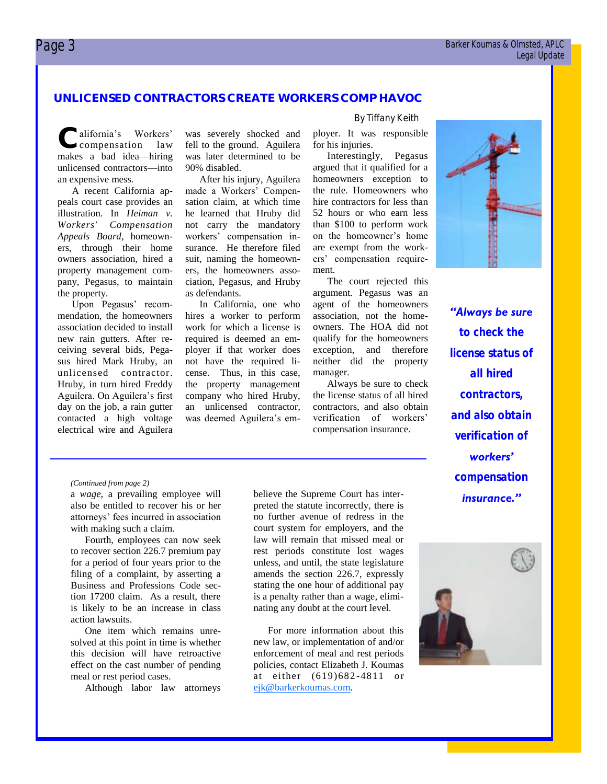#### **UNLICENSED CONTRACTORS CREATE WORKERS COMP HAVOC**

**C** alifornia's Workers'<br>
makes a bad idea—hiring alifornia's Workers' compensation law unlicensed contractors—into an expensive mess.

A recent California appeals court case provides an illustration. In *Heiman v. Workers' Compensation Appeals Board*, homeowners, through their home owners association, hired a property management company, Pegasus, to maintain the property.

Upon Pegasus' recommendation, the homeowners association decided to install new rain gutters. After receiving several bids, Pegasus hired Mark Hruby, an unlicensed contractor. Hruby, in turn hired Freddy Aguilera. On Aguilera's first day on the job, a rain gutter contacted a high voltage electrical wire and Aguilera

was severely shocked and fell to the ground. Aguilera was later determined to be 90% disabled.

After his injury, Aguilera made a Workers' Compensation claim, at which time he learned that Hruby did not carry the mandatory workers' compensation insurance. He therefore filed suit, naming the homeowners, the homeowners association, Pegasus, and Hruby as defendants.

In California, one who hires a worker to perform work for which a license is required is deemed an employer if that worker does not have the required license. Thus, in this case, the property management company who hired Hruby, an unlicensed contractor, was deemed Aguilera's em-

#### By Tiffany Keith

ployer. It was responsible for his injuries.

Interestingly, Pegasus argued that it qualified for a homeowners exception to the rule. Homeowners who hire contractors for less than 52 hours or who earn less than \$100 to perform work on the homeowner's home are exempt from the workers' compensation requirement.

The court rejected this argument. Pegasus was an agent of the homeowners association, not the homeowners. The HOA did not qualify for the homeowners exception, and therefore neither did the property manager.

Always be sure to check the license status of all hired contractors, and also obtain verification of workers' compensation insurance.



*"Always be sure to check the license status of all hired contractors, and also obtain verification of workers" compensation insurance."* 

#### *(Continued from page 2)*

a *wage*, a prevailing employee will also be entitled to recover his or her attorneys' fees incurred in association with making such a claim.

Fourth, employees can now seek to recover section 226.7 premium pay for a period of four years prior to the filing of a complaint, by asserting a Business and Professions Code section 17200 claim. As a result, there is likely to be an increase in class action lawsuits.

One item which remains unresolved at this point in time is whether this decision will have retroactive effect on the cast number of pending meal or rest period cases.

Although labor law attorneys

believe the Supreme Court has interpreted the statute incorrectly, there is no further avenue of redress in the court system for employers, and the law will remain that missed meal or rest periods constitute lost wages unless, and until, the state legislature amends the section 226.7, expressly stating the one hour of additional pay is a penalty rather than a wage, eliminating any doubt at the court level.

For more information about this new law, or implementation of and/or enforcement of meal and rest periods policies, contact Elizabeth J. Koumas at either (619)682 -4811 or [ejk@barkerkoumas.com.](mailto:ejk@barkerkoumas.com)

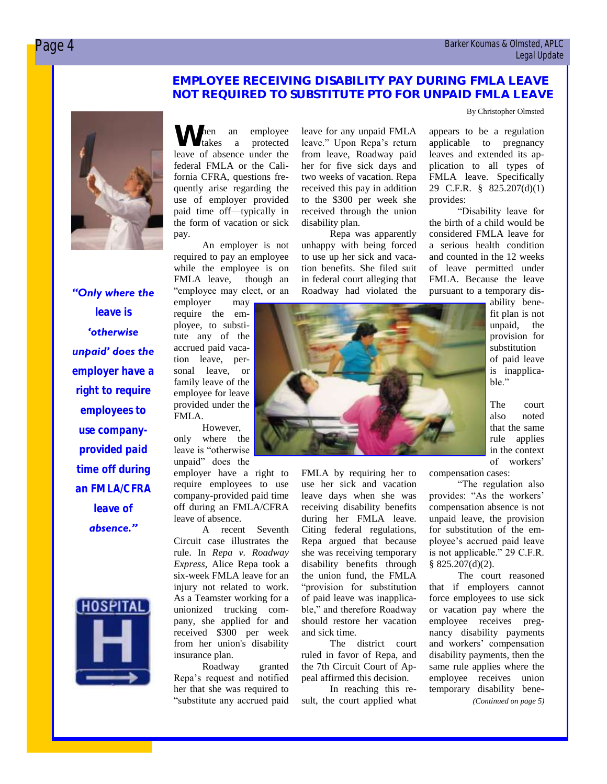#### **EMPLOYEE RECEIVING DISABILITY PAY DURING FMLA LEAVE NOT REQUIRED TO SUBSTITUTE PTO FOR UNPAID FMLA LEAVE**

By Christopher Olmsted

### *"Only where the leave is "otherwise unpaid" does the employer have a right to require employees to use companyprovided paid time off during an FMLA/CFRA leave of absence."*



When an employee<br>leave of absence under the takes a protected federal FMLA or the California CFRA, questions frequently arise regarding the use of employer provided paid time off—typically in the form of vacation or sick pay.

An employer is not required to pay an employee while the employee is on FMLA leave, though an "employee may elect, or an

employer may require the employee, to substitute any of the accrued paid vacation leave, personal leave, or family leave of the employee for leave provided under the FMLA.

However, only where the leave is "otherwise unpaid" does the

employer have a right to require employees to use company-provided paid time off during an FMLA/CFRA leave of absence.

A recent Seventh Circuit case illustrates the rule. In *Repa v. Roadway Express*, Alice Repa took a six-week FMLA leave for an injury not related to work. As a Teamster working for a unionized trucking company, she applied for and received \$300 per week from her union's disability insurance plan.

Roadway granted Repa's request and notified her that she was required to "substitute any accrued paid

leave for any unpaid FMLA leave." Upon Repa's return from leave, Roadway paid her for five sick days and two weeks of vacation. Repa received this pay in addition to the \$300 per week she received through the union disability plan.

Repa was apparently unhappy with being forced to use up her sick and vacation benefits. She filed suit in federal court alleging that Roadway had violated the

appears to be a regulation applicable to pregnancy leaves and extended its application to all types of FMLA leave. Specifically 29 C.F.R. § 825.207(d)(1) provides:

"Disability leave for the birth of a child would be considered FMLA leave for a serious health condition and counted in the 12 weeks of leave permitted under FMLA. Because the leave pursuant to a temporary dis-

> ability benefit plan is not unpaid, the provision for substitution of paid leave is inapplicable."

> The court also noted that the same rule applies in the context of workers'

compensation cases:

"The regulation also provides: "As the workers' compensation absence is not unpaid leave, the provision for substitution of the employee's accrued paid leave is not applicable." 29 C.F.R. § 825.207(d)(2).

The court reasoned that if employers cannot force employees to use sick or vacation pay where the employee receives pregnancy disability payments and workers' compensation disability payments, then the same rule applies where the employee receives union temporary disability bene- *(Continued on page 5)*



FMLA by requiring her to use her sick and vacation leave days when she was receiving disability benefits during her FMLA leave. Citing federal regulations, Repa argued that because she was receiving temporary disability benefits through the union fund, the FMLA "provision for substitution of paid leave was inapplicable," and therefore Roadway should restore her vacation

and sick time.

The district court ruled in favor of Repa, and the 7th Circuit Court of Appeal affirmed this decision.

In reaching this result, the court applied what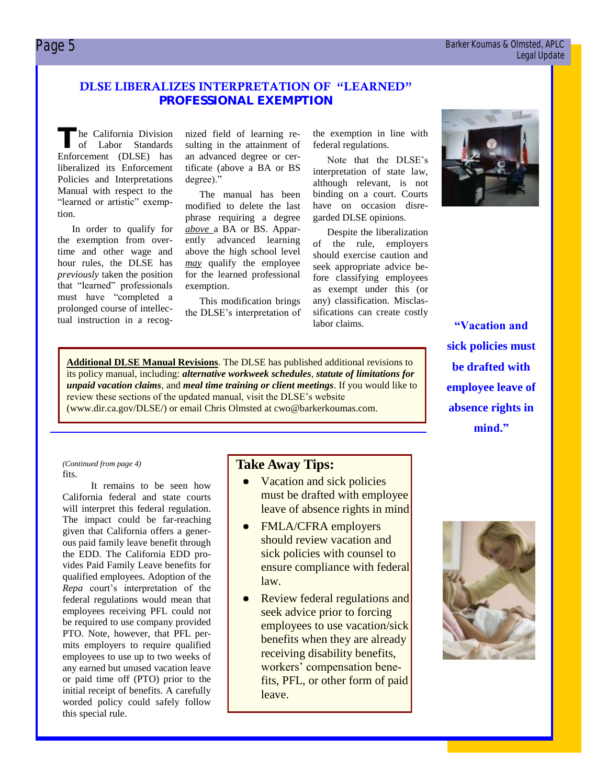#### Page 5 Barker Koumas & Olmsted, APLC Legal Update

#### **DLSE LIBERALIZES INTERPRETATION OF "LEARNED" PROFESSIONAL EXEMPTION**

The California Division<br>
of Labor Standards<br>
Enforcement (DLSE) has he California Division of Labor Standards liberalized its Enforcement Policies and Interpretations Manual with respect to the "learned or artistic" exemption.

In order to qualify for the exemption from overtime and other wage and hour rules, the DLSE has *previously* taken the position that "learned" professionals must have "completed a prolonged course of intellectual instruction in a recognized field of learning resulting in the attainment of an advanced degree or certificate (above a BA or BS degree)."

The manual has been modified to delete the last phrase requiring a degree *above* a BA or BS. Apparently advanced learning above the high school level *may* qualify the employee for the learned professional exemption.

This modification brings the DLSE's interpretation of the exemption in line with federal regulations.

Note that the DLSE's interpretation of state law, although relevant, is not binding on a court. Courts have on occasion disregarded DLSE opinions.

Despite the liberalization of the rule, employers should exercise caution and seek appropriate advice before classifying employees as exempt under this (or any) classification. Misclassifications can create costly labor claims.

**Additional DLSE Manual Revisions**. The DLSE has published additional revisions to its policy manual, including: *alternative workweek schedules*, *statute of limitations for unpaid vacation claims*, and *meal time training or client meetings*. If you would like to review these sections of the updated manual, visit the DLSE's website (www.dir.ca.gov/DLSE/) or email Chris Olmsted at cwo@barkerkoumas.com.

**"Vacation and sick policies must be drafted with employee leave of absence rights in mind."**

#### fits. *(Continued from page 4)*

It remains to be seen how California federal and state courts will interpret this federal regulation. The impact could be far-reaching given that California offers a generous paid family leave benefit through the EDD. The California EDD provides Paid Family Leave benefits for qualified employees. Adoption of the *Repa* court's interpretation of the federal regulations would mean that employees receiving PFL could not be required to use company provided PTO. Note, however, that PFL permits employers to require qualified employees to use up to two weeks of any earned but unused vacation leave or paid time off (PTO) prior to the initial receipt of benefits. A carefully worded policy could safely follow this special rule.

#### **Take Away Tips:**

- Vacation and sick policies must be drafted with employee leave of absence rights in mind
- FMLA/CFRA employers should review vacation and sick policies with counsel to ensure compliance with federal law.
- Review federal regulations and seek advice prior to forcing employees to use vacation/sick benefits when they are already receiving disability benefits, workers' compensation benefits, PFL, or other form of paid leave.



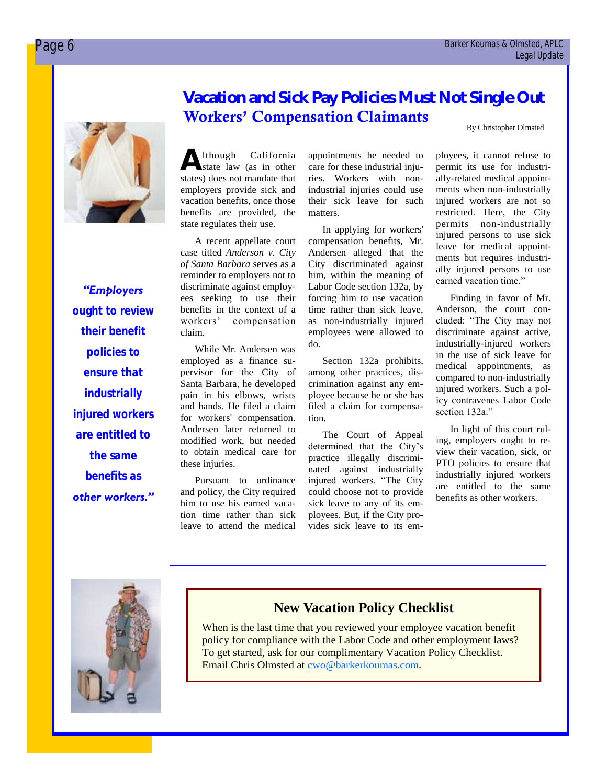

*"Employers ought to review their benefit policies to ensure that industrially injured workers are entitled to the same benefits as other workers."* 

#### **Vacation and Sick Pay Policies Must Not Single Out Workers' Compensation Claimants**

By Christopher Olmsted

**A** lthough California state law (as in other states) does not mandate that employers provide sick and vacation benefits, once those benefits are provided, the state regulates their use.

A recent appellate court case titled *Anderson v. City of Santa Barbara* serves as a reminder to employers not to discriminate against employees seeking to use their benefits in the context of a workers' compensation claim.

While Mr. Andersen was employed as a finance supervisor for the City of Santa Barbara, he developed pain in his elbows, wrists and hands. He filed a claim for workers' compensation. Andersen later returned to modified work, but needed to obtain medical care for these injuries.

Pursuant to ordinance and policy, the City required him to use his earned vacation time rather than sick leave to attend the medical appointments he needed to care for these industrial injuries. Workers with nonindustrial injuries could use their sick leave for such matters.

In applying for workers' compensation benefits, Mr. Andersen alleged that the City discriminated against him, within the meaning of Labor Code section 132a, by forcing him to use vacation time rather than sick leave, as non-industrially injured employees were allowed to do.

Section 132a prohibits, among other practices, discrimination against any employee because he or she has filed a claim for compensation.

The Court of Appeal determined that the City's practice illegally discriminated against industrially injured workers. "The City could choose not to provide sick leave to any of its employees. But, if the City provides sick leave to its em-

ployees, it cannot refuse to permit its use for industrially-related medical appointments when non-industrially injured workers are not so restricted. Here, the City permits non-industrially injured persons to use sick leave for medical appointments but requires industrially injured persons to use earned vacation time."

Finding in favor of Mr. Anderson, the court concluded: "The City may not discriminate against active, industrially-injured workers in the use of sick leave for medical appointments, as compared to non-industrially injured workers. Such a policy contravenes Labor Code section 132a."

In light of this court ruling, employers ought to review their vacation, sick, or PTO policies to ensure that industrially injured workers are entitled to the same benefits as other workers.



#### **New Vacation Policy Checklist**

When is the last time that you reviewed your employee vacation benefit policy for compliance with the Labor Code and other employment laws? To get started, ask for our complimentary Vacation Policy Checklist. Email Chris Olmsted at [cwo@barkerkoumas.com.](mailto:mailto:cwo@barkerkoumas.com?subject=Vacation%20Policy%20Checklist)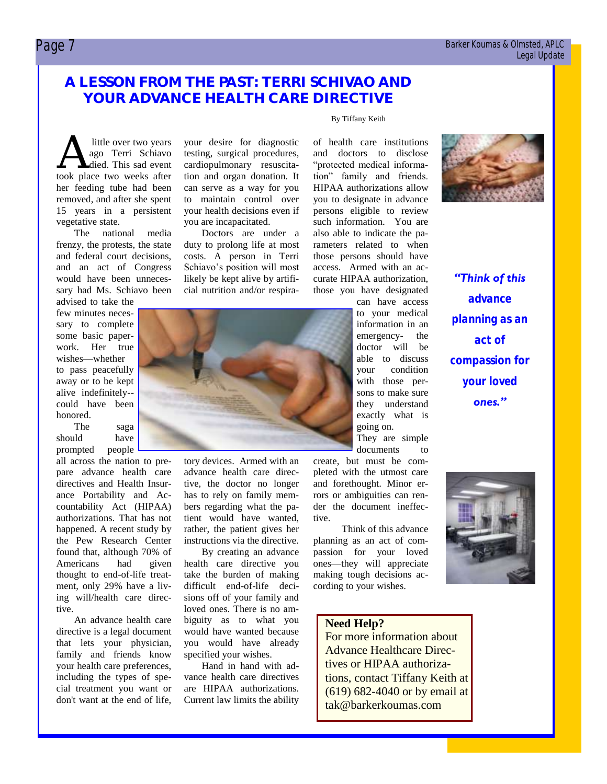#### Page 7 Barker Koumas & Olmsted, APLC Legal Update

#### **A LESSON FROM THE PAST: TERRI SCHIVAO AND YOUR ADVANCE HEALTH CARE DIRECTIVE**

A little over two years<br>ago Terri Schiavo<br>took place two weeks after little over two years ago Terri Schiavo died. This sad event her feeding tube had been removed, and after she spent 15 years in a persistent vegetative state.

The national media frenzy, the protests, the state and federal court decisions, and an act of Congress would have been unnecessary had Ms. Schiavo been

advised to take the few minutes necessary to complete some basic paperwork. Her true wishes—whether to pass peacefully away or to be kept alive indefinitely- could have been honored.

The saga should have prompted people

all across the nation to prepare advance health care directives and Health Insurance Portability and Accountability Act (HIPAA) authorizations. That has not happened. A recent study by the Pew Research Center found that, although 70% of Americans had given thought to end-of-life treatment, only 29% have a living will/health care directive.

An advance health care directive is a legal document that lets your physician, family and friends know your health care preferences, including the types of special treatment you want or don't want at the end of life, your desire for diagnostic testing, surgical procedures, cardiopulmonary resuscitation and organ donation. It can serve as a way for you to maintain control over your health decisions even if you are incapacitated.

Doctors are under a duty to prolong life at most costs. A person in Terri Schiavo's position will most likely be kept alive by artificial nutrition and/or respira-



tory devices. Armed with an advance health care directive, the doctor no longer has to rely on family members regarding what the patient would have wanted, rather, the patient gives her instructions via the directive.

By creating an advance health care directive you take the burden of making difficult end-of-life decisions off of your family and loved ones. There is no ambiguity as to what you would have wanted because you would have already specified your wishes.

Hand in hand with advance health care directives are HIPAA authorizations. Current law limits the ability

#### By Tiffany Keith

of health care institutions and doctors to disclose "protected medical information" family and friends. HIPAA authorizations allow you to designate in advance persons eligible to review such information. You are also able to indicate the parameters related to when those persons should have access. Armed with an accurate HIPAA authorization, those you have designated

> can have access to your medical information in an emergency- the doctor will be able to discuss your condition with those persons to make sure they understand exactly what is going on. They are simple

documents to

create, but must be completed with the utmost care and forethought. Minor errors or ambiguities can render the document ineffective.

Think of this advance planning as an act of compassion for your loved ones—they will appreciate making tough decisions according to your wishes.

#### **Need Help?**

For more information about Advance Healthcare Directives or HIPAA authorizations, contact Tiffany Keith at (619) 682-4040 or by email at tak@barkerkoumas.com



*"Think of this advance planning as an act of compassion for your loved ones."*